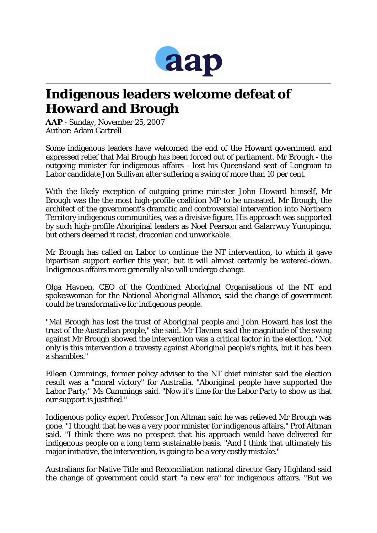

## **Indigenous leaders welcome defeat of Howard and Brough**

*AAP* - Sunday, November 25, 2007 Author: Adam Gartrell

Some indigenous leaders have welcomed the end of the Howard government and expressed relief that Mal Brough has been forced out of parliament. Mr Brough - the outgoing minister for indigenous affairs - lost his Queensland seat of Longman to Labor candidate Jon Sullivan after suffering a swing of more than 10 per cent.

With the likely exception of outgoing prime minister John Howard himself, Mr Brough was the the most high-profile coalition MP to be unseated. Mr Brough, the architect of the government's dramatic and controversial intervention into Northern Territory indigenous communities, was a divisive figure. His approach was supported by such high-profile Aboriginal leaders as Noel Pearson and Galarrwuy Yunupingu, but others deemed it racist, draconian and unworkable.

Mr Brough has called on Labor to continue the NT intervention, to which it gave bipartisan support earlier this year, but it will almost certainly be watered-down. Indigenous affairs more generally also will undergo change.

Olga Havnen, CEO of the Combined Aboriginal Organisations of the NT and spokeswoman for the National Aboriginal Alliance, said the change of government could be transformative for indigenous people.

"Mal Brough has lost the trust of Aboriginal people and John Howard has lost the trust of the Australian people," she said. Mr Havnen said the magnitude of the swing against Mr Brough showed the intervention was a critical factor in the election. "Not only is this intervention a travesty against Aboriginal people's rights, but it has been a shambles."

Eileen Cummings, former policy adviser to the NT chief minister said the election result was a "moral victory" for Australia. "Aboriginal people have supported the Labor Party," Ms Cummings said. "Now it's time for the Labor Party to show us that our support is justified."

Indigenous policy expert Professor Jon Altman said he was relieved Mr Brough was gone. "I thought that he was a very poor minister for indigenous affairs," Prof Altman said. "I think there was no prospect that his approach would have delivered for indigenous people on a long term sustainable basis. "And I think that ultimately his major initiative, the intervention, is going to be a very costly mistake."

Australians for Native Title and Reconciliation national director Gary Highland said the change of government could start "a new era" for indigenous affairs. "But we